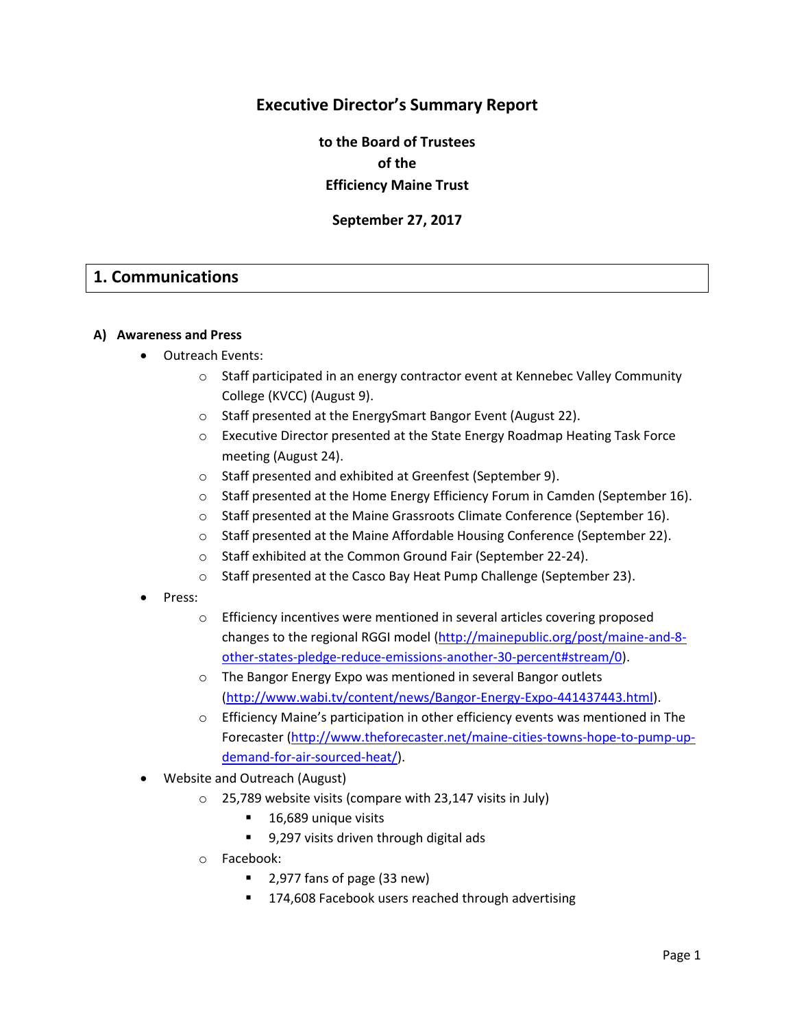## **Executive Director's Summary Report**

**to the Board of Trustees of the Efficiency Maine Trust**

**September 27, 2017**

## **1. Communications**

#### **A) Awareness and Press**

- Outreach Events:
	- o Staff participated in an energy contractor event at Kennebec Valley Community College (KVCC) (August 9).
	- o Staff presented at the EnergySmart Bangor Event (August 22).
	- o Executive Director presented at the State Energy Roadmap Heating Task Force meeting (August 24).
	- o Staff presented and exhibited at Greenfest (September 9).
	- $\circ$  Staff presented at the Home Energy Efficiency Forum in Camden (September 16).
	- o Staff presented at the Maine Grassroots Climate Conference (September 16).
	- o Staff presented at the Maine Affordable Housing Conference (September 22).
	- o Staff exhibited at the Common Ground Fair (September 22-24).
	- o Staff presented at the Casco Bay Heat Pump Challenge (September 23).
- Press:
	- $\circ$  Efficiency incentives were mentioned in several articles covering proposed changes to the regional RGGI model [\(http://mainepublic.org/post/maine-and-8](http://mainepublic.org/post/maine-and-8-other-states-pledge-reduce-emissions-another-30-percent#stream/0) [other-states-pledge-reduce-emissions-another-30-percent#stream/0\)](http://mainepublic.org/post/maine-and-8-other-states-pledge-reduce-emissions-another-30-percent#stream/0).
	- o The Bangor Energy Expo was mentioned in several Bangor outlets [\(http://www.wabi.tv/content/news/Bangor-Energy-Expo-441437443.html\)](http://www.wabi.tv/content/news/Bangor-Energy-Expo-441437443.html).
	- $\circ$  Efficiency Maine's participation in other efficiency events was mentioned in The Forecaster [\(http://www.theforecaster.net/maine-cities-towns-hope-to-pump-up](http://www.theforecaster.net/maine-cities-towns-hope-to-pump-up-demand-for-air-sourced-heat/)[demand-for-air-sourced-heat/\)](http://www.theforecaster.net/maine-cities-towns-hope-to-pump-up-demand-for-air-sourced-heat/).
- Website and Outreach (August)
	- o 25,789 website visits (compare with 23,147 visits in July)
		- 16,689 unique visits
		- 9,297 visits driven through digital ads
	- o Facebook:
		- 2,977 fans of page (33 new)
		- 174,608 Facebook users reached through advertising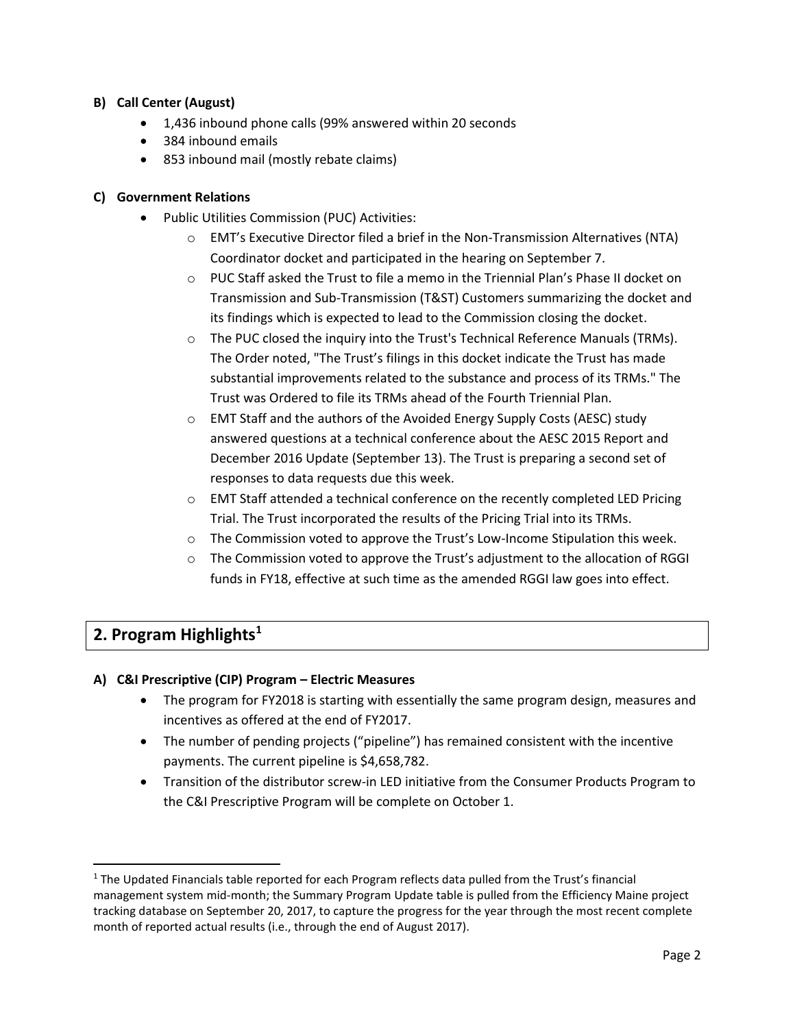#### **B) Call Center (August)**

- 1,436 inbound phone calls (99% answered within 20 seconds
- 384 inbound emails
- 853 inbound mail (mostly rebate claims)

#### **C) Government Relations**

- Public Utilities Commission (PUC) Activities:
	- $\circ$  EMT's Executive Director filed a brief in the Non-Transmission Alternatives (NTA) Coordinator docket and participated in the hearing on September 7.
	- $\circ$  PUC Staff asked the Trust to file a memo in the Triennial Plan's Phase II docket on Transmission and Sub-Transmission (T&ST) Customers summarizing the docket and its findings which is expected to lead to the Commission closing the docket.
	- $\circ$  The PUC closed the inquiry into the Trust's Technical Reference Manuals (TRMs). The Order noted, "The Trust's filings in this docket indicate the Trust has made substantial improvements related to the substance and process of its TRMs." The Trust was Ordered to file its TRMs ahead of the Fourth Triennial Plan.
	- o EMT Staff and the authors of the Avoided Energy Supply Costs (AESC) study answered questions at a technical conference about the AESC 2015 Report and December 2016 Update (September 13). The Trust is preparing a second set of responses to data requests due this week.
	- o EMT Staff attended a technical conference on the recently completed LED Pricing Trial. The Trust incorporated the results of the Pricing Trial into its TRMs.
	- $\circ$  The Commission voted to approve the Trust's Low-Income Stipulation this week.
	- $\circ$  The Commission voted to approve the Trust's adjustment to the allocation of RGGI funds in FY18, effective at such time as the amended RGGI law goes into effect.

# **2. Program Highlights<sup>1</sup>**

l

#### **A) C&I Prescriptive (CIP) Program – Electric Measures**

- The program for FY2018 is starting with essentially the same program design, measures and incentives as offered at the end of FY2017.
- The number of pending projects ("pipeline") has remained consistent with the incentive payments. The current pipeline is \$4,658,782.
- Transition of the distributor screw-in LED initiative from the Consumer Products Program to the C&I Prescriptive Program will be complete on October 1.

<sup>&</sup>lt;sup>1</sup> The Updated Financials table reported for each Program reflects data pulled from the Trust's financial management system mid-month; the Summary Program Update table is pulled from the Efficiency Maine project tracking database on September 20, 2017, to capture the progress for the year through the most recent complete month of reported actual results (i.e., through the end of August 2017).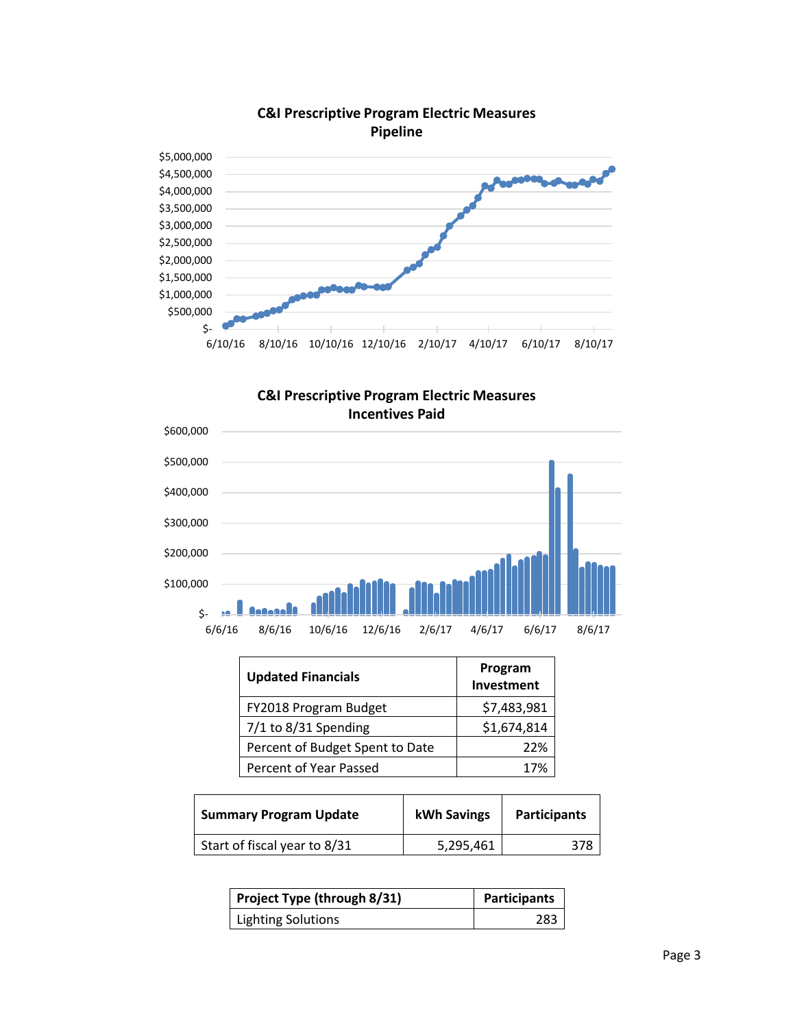

## **C&I Prescriptive Program Electric Measures Pipeline**





| <b>Updated Financials</b>       | Program<br>Investment |
|---------------------------------|-----------------------|
| FY2018 Program Budget           | \$7,483,981           |
| 7/1 to 8/31 Spending            | \$1,674,814           |
| Percent of Budget Spent to Date | 22%                   |
| Percent of Year Passed          | 17%                   |

| <b>Summary Program Update</b> | kWh Savings | <b>Participants</b> |
|-------------------------------|-------------|---------------------|
| Start of fiscal year to 8/31  | 5,295,461   | 378                 |

| Project Type (through 8/31) | <b>Participants</b> |
|-----------------------------|---------------------|
| <b>Lighting Solutions</b>   | 283                 |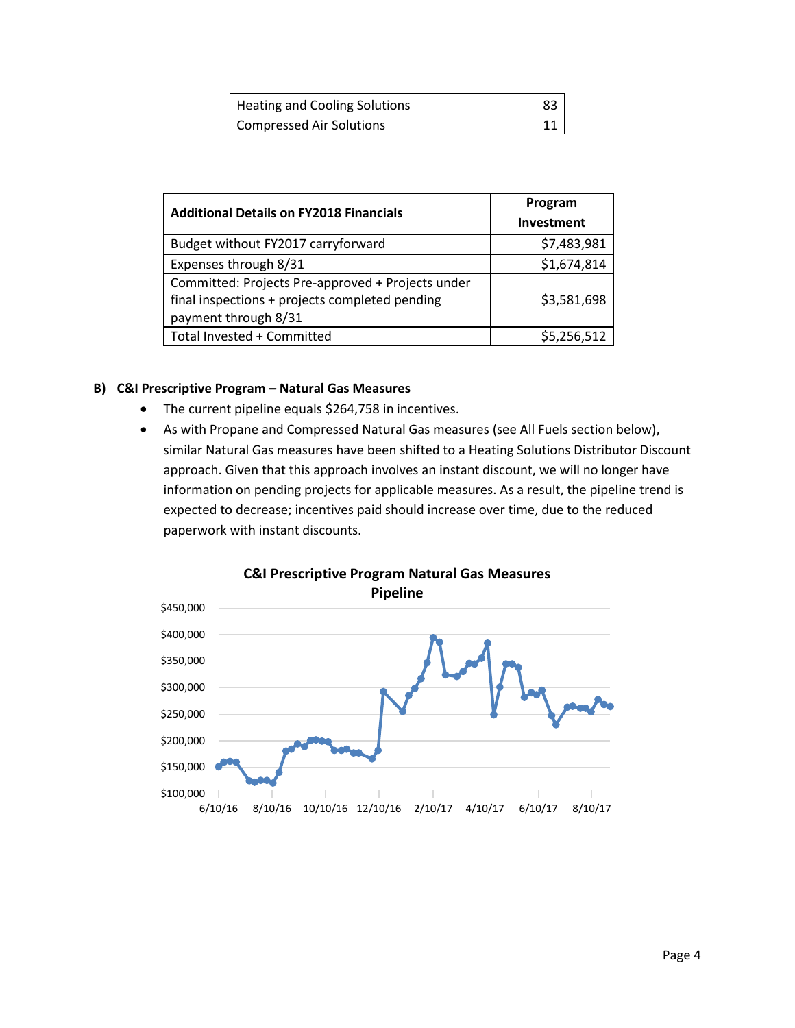| Heating and Cooling Solutions |  |
|-------------------------------|--|
| Compressed Air Solutions      |  |

| <b>Additional Details on FY2018 Financials</b>    | Program     |
|---------------------------------------------------|-------------|
|                                                   | Investment  |
| Budget without FY2017 carryforward                | \$7,483,981 |
| Expenses through 8/31                             | \$1,674,814 |
| Committed: Projects Pre-approved + Projects under |             |
| final inspections + projects completed pending    | \$3,581,698 |
| payment through 8/31                              |             |
| Total Invested + Committed                        | \$5,256,512 |

#### **B) C&I Prescriptive Program – Natural Gas Measures**

- The current pipeline equals \$264,758 in incentives.
- As with Propane and Compressed Natural Gas measures (see All Fuels section below), similar Natural Gas measures have been shifted to a Heating Solutions Distributor Discount approach. Given that this approach involves an instant discount, we will no longer have information on pending projects for applicable measures. As a result, the pipeline trend is expected to decrease; incentives paid should increase over time, due to the reduced paperwork with instant discounts.

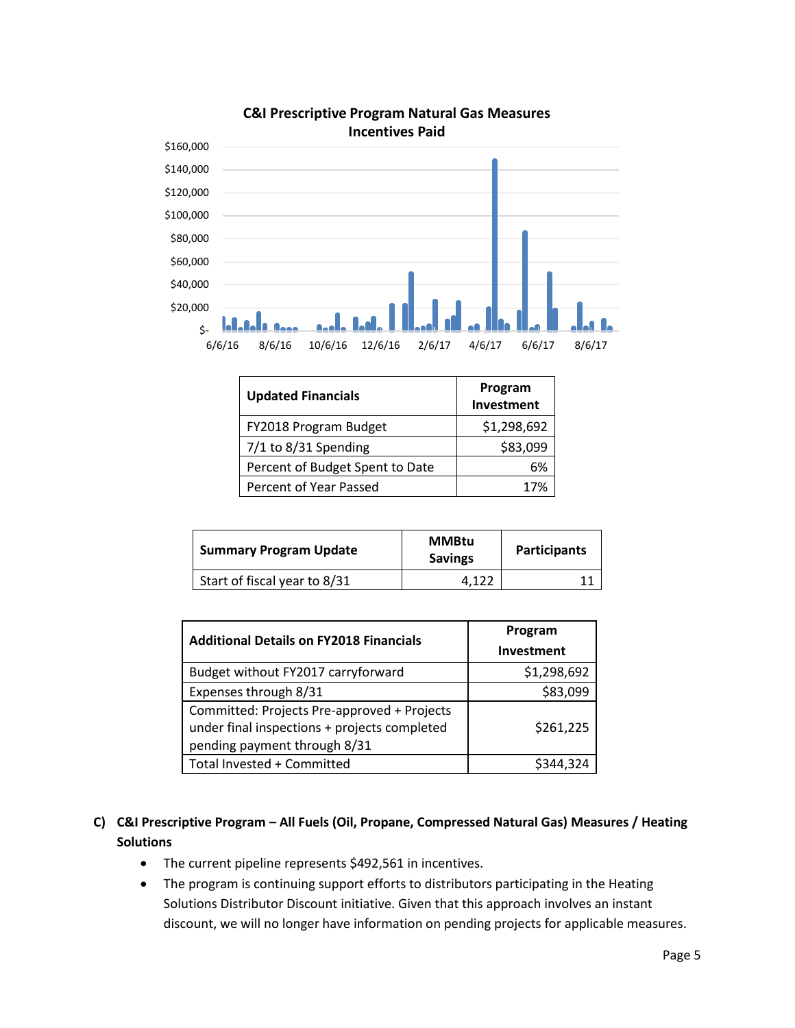

# **C&I Prescriptive Program Natural Gas Measures**

| <b>Updated Financials</b>       | Program<br>Investment |
|---------------------------------|-----------------------|
| FY2018 Program Budget           | \$1,298,692           |
| 7/1 to 8/31 Spending            | \$83,099              |
| Percent of Budget Spent to Date | 6%                    |
| Percent of Year Passed          | 17%                   |

| <b>Summary Program Update</b> | <b>MMBtu</b><br><b>Savings</b> | <b>Participants</b> |
|-------------------------------|--------------------------------|---------------------|
| Start of fiscal year to 8/31  | 4.122                          |                     |

| <b>Additional Details on FY2018 Financials</b>                                                                              | Program<br><b>Investment</b> |
|-----------------------------------------------------------------------------------------------------------------------------|------------------------------|
| Budget without FY2017 carryforward                                                                                          | \$1,298,692                  |
| Expenses through 8/31                                                                                                       | \$83,099                     |
| Committed: Projects Pre-approved + Projects<br>under final inspections + projects completed<br>pending payment through 8/31 | \$261,225                    |
| Total Invested + Committed                                                                                                  | S344.324                     |

## **C) C&I Prescriptive Program – All Fuels (Oil, Propane, Compressed Natural Gas) Measures / Heating Solutions**

- The current pipeline represents \$492,561 in incentives.
- The program is continuing support efforts to distributors participating in the Heating Solutions Distributor Discount initiative. Given that this approach involves an instant discount, we will no longer have information on pending projects for applicable measures.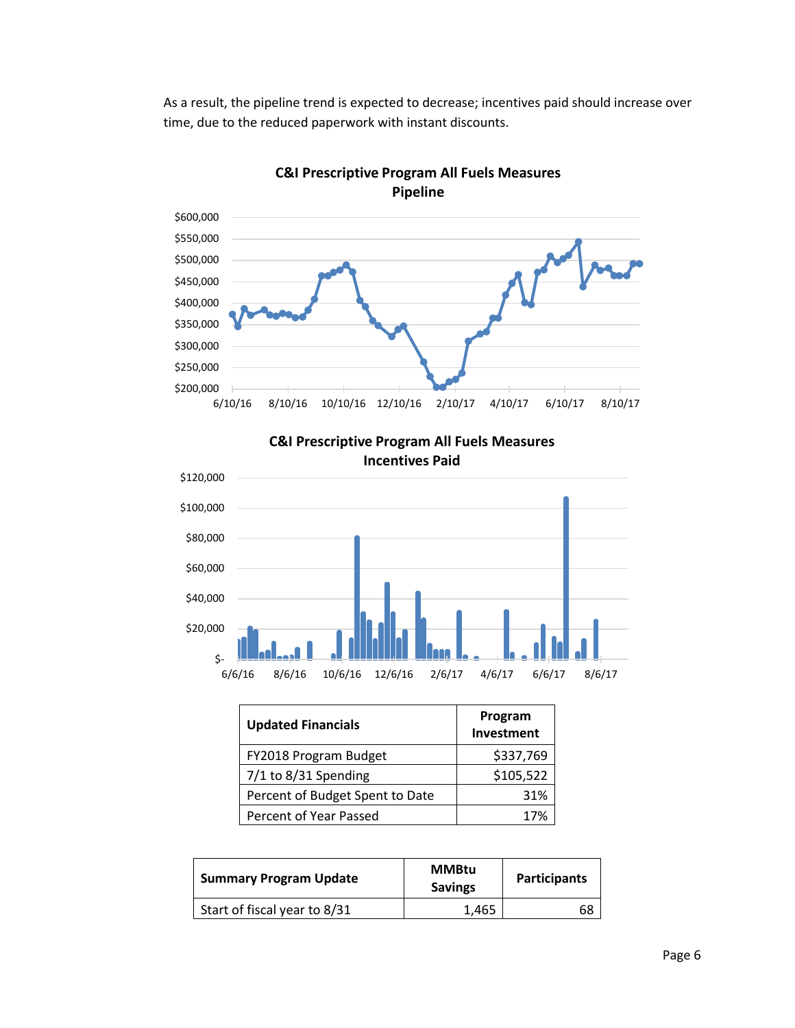As a result, the pipeline trend is expected to decrease; incentives paid should increase over time, due to the reduced paperwork with instant discounts.



**C&I Prescriptive Program All Fuels Measures Pipeline**

**C&I Prescriptive Program All Fuels Measures Incentives Paid**



| <b>Updated Financials</b>       | Program<br>Investment |
|---------------------------------|-----------------------|
| FY2018 Program Budget           | \$337,769             |
| $7/1$ to 8/31 Spending          | \$105,522             |
| Percent of Budget Spent to Date | 31%                   |
| Percent of Year Passed          | 17%                   |

| <b>Summary Program Update</b> | <b>MMBtu</b><br><b>Savings</b> | <b>Participants</b> |
|-------------------------------|--------------------------------|---------------------|
| Start of fiscal year to 8/31  | 1.465                          | 68                  |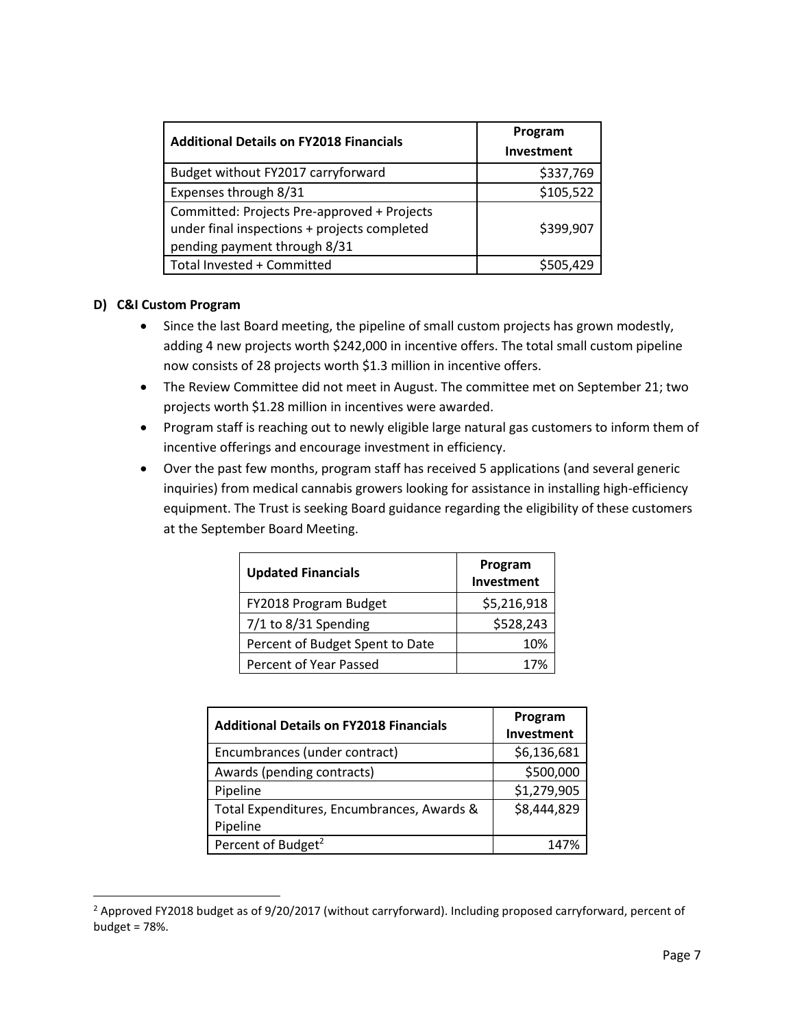| <b>Additional Details on FY2018 Financials</b>                                                                              | Program<br>Investment |
|-----------------------------------------------------------------------------------------------------------------------------|-----------------------|
| Budget without FY2017 carryforward                                                                                          | \$337,769             |
| Expenses through 8/31                                                                                                       | \$105,522             |
| Committed: Projects Pre-approved + Projects<br>under final inspections + projects completed<br>pending payment through 8/31 | \$399,907             |
| Total Invested + Committed                                                                                                  | \$505.429             |

#### **D) C&I Custom Program**

 $\overline{\phantom{a}}$ 

- Since the last Board meeting, the pipeline of small custom projects has grown modestly, adding 4 new projects worth \$242,000 in incentive offers. The total small custom pipeline now consists of 28 projects worth \$1.3 million in incentive offers.
- The Review Committee did not meet in August. The committee met on September 21; two projects worth \$1.28 million in incentives were awarded.
- Program staff is reaching out to newly eligible large natural gas customers to inform them of incentive offerings and encourage investment in efficiency.
- Over the past few months, program staff has received 5 applications (and several generic inquiries) from medical cannabis growers looking for assistance in installing high-efficiency equipment. The Trust is seeking Board guidance regarding the eligibility of these customers at the September Board Meeting.

| <b>Updated Financials</b>       | Program<br>Investment |
|---------------------------------|-----------------------|
| FY2018 Program Budget           | \$5,216,918           |
| 7/1 to 8/31 Spending            | \$528,243             |
| Percent of Budget Spent to Date | 10%                   |
| Percent of Year Passed          | 17%                   |

| <b>Additional Details on FY2018 Financials</b> | Program<br>Investment |
|------------------------------------------------|-----------------------|
| Encumbrances (under contract)                  | \$6,136,681           |
| Awards (pending contracts)                     | \$500,000             |
| Pipeline                                       | \$1,279,905           |
| Total Expenditures, Encumbrances, Awards &     | \$8,444,829           |
| Pipeline                                       |                       |
| Percent of Budget <sup>2</sup>                 | 147%                  |

<sup>&</sup>lt;sup>2</sup> Approved FY2018 budget as of 9/20/2017 (without carryforward). Including proposed carryforward, percent of budget = 78%.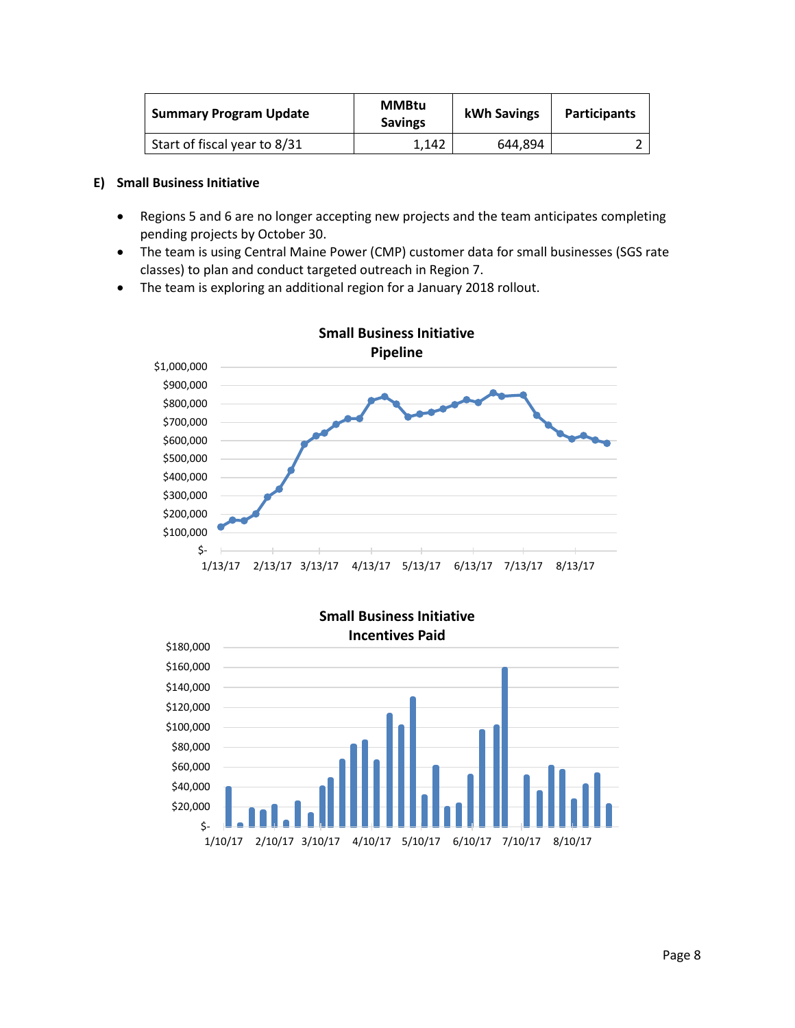| <b>Summary Program Update</b> | <b>MMBtu</b><br><b>Savings</b> | kWh Savings | <b>Participants</b> |
|-------------------------------|--------------------------------|-------------|---------------------|
| Start of fiscal year to 8/31  | 1.142                          | 644.894     |                     |

#### **E) Small Business Initiative**

- Regions 5 and 6 are no longer accepting new projects and the team anticipates completing pending projects by October 30.
- The team is using Central Maine Power (CMP) customer data for small businesses (SGS rate classes) to plan and conduct targeted outreach in Region 7.
- The team is exploring an additional region for a January 2018 rollout.



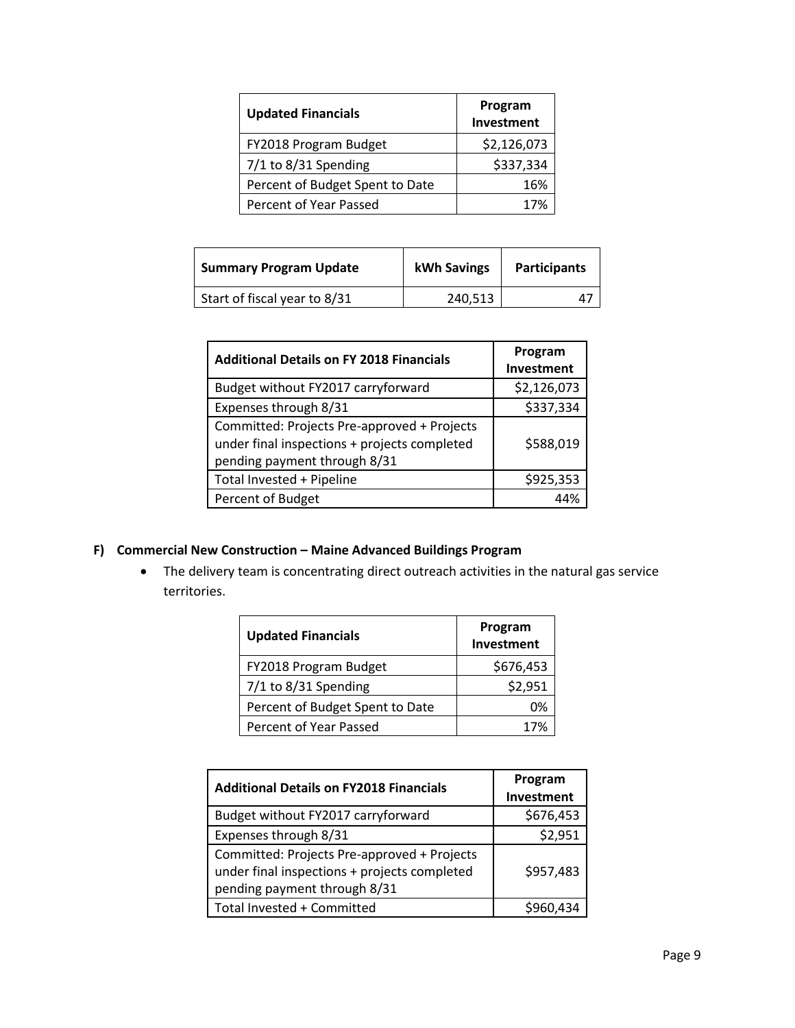| <b>Updated Financials</b>       | Program<br>Investment |
|---------------------------------|-----------------------|
| FY2018 Program Budget           | \$2,126,073           |
| $7/1$ to 8/31 Spending          | \$337,334             |
| Percent of Budget Spent to Date | 16%                   |
| Percent of Year Passed          | 17%                   |

| <b>Summary Program Update</b> | kWh Savings | <b>Participants</b> |
|-------------------------------|-------------|---------------------|
| Start of fiscal year to 8/31  | 240,513     |                     |

| <b>Additional Details on FY 2018 Financials</b>                                                                             | Program<br>Investment |
|-----------------------------------------------------------------------------------------------------------------------------|-----------------------|
| Budget without FY2017 carryforward                                                                                          | \$2,126,073           |
| Expenses through 8/31                                                                                                       | \$337,334             |
| Committed: Projects Pre-approved + Projects<br>under final inspections + projects completed<br>pending payment through 8/31 | \$588,019             |
| Total Invested + Pipeline                                                                                                   | \$925,353             |
| Percent of Budget                                                                                                           |                       |

## **F) Commercial New Construction – Maine Advanced Buildings Program**

• The delivery team is concentrating direct outreach activities in the natural gas service territories.

| <b>Updated Financials</b>       | Program<br>Investment |
|---------------------------------|-----------------------|
| FY2018 Program Budget           | \$676,453             |
| $7/1$ to 8/31 Spending          | \$2,951               |
| Percent of Budget Spent to Date | 0%                    |
| Percent of Year Passed          | 17%                   |

| <b>Additional Details on FY2018 Financials</b>                                                                              | Program<br>Investment |
|-----------------------------------------------------------------------------------------------------------------------------|-----------------------|
| Budget without FY2017 carryforward                                                                                          | \$676,453             |
| Expenses through 8/31                                                                                                       | \$2,951               |
| Committed: Projects Pre-approved + Projects<br>under final inspections + projects completed<br>pending payment through 8/31 | \$957,483             |
| Total Invested + Committed                                                                                                  |                       |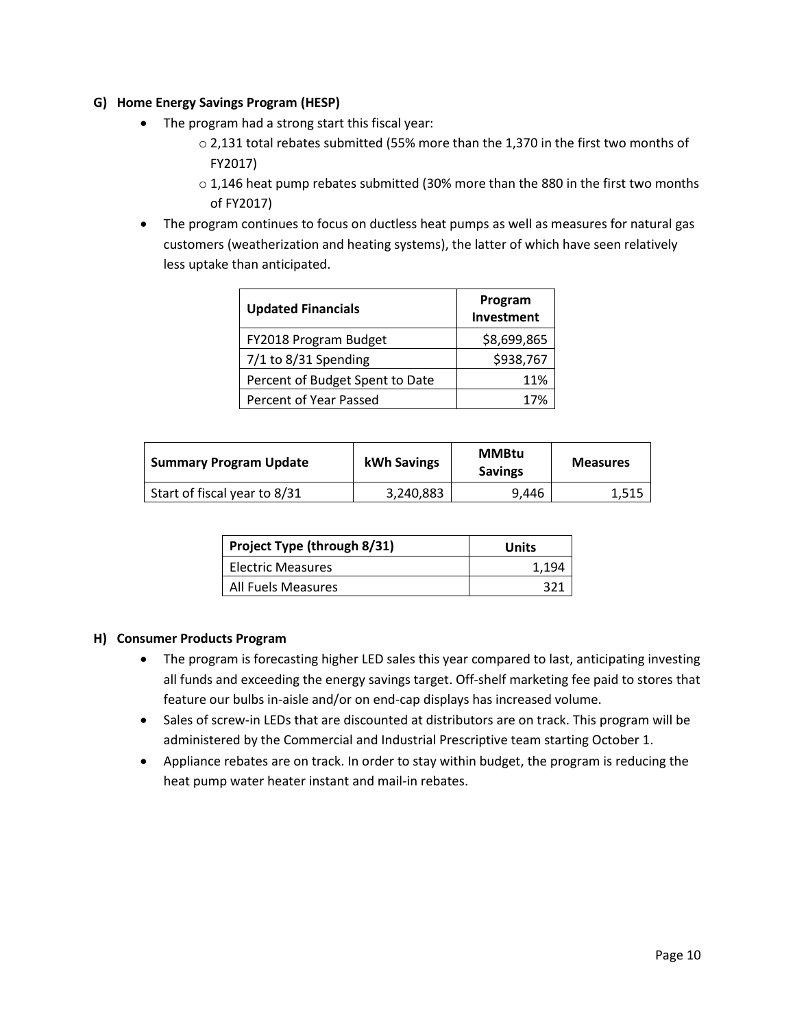#### **G) Home Energy Savings Program (HESP)**

- The program had a strong start this fiscal year:
	- $\circ$  2,131 total rebates submitted (55% more than the 1,370 in the first two months of FY2017)
	- $\circ$  1,146 heat pump rebates submitted (30% more than the 880 in the first two months of FY2017)
- The program continues to focus on ductless heat pumps as well as measures for natural gas customers (weatherization and heating systems), the latter of which have seen relatively less uptake than anticipated.

| <b>Updated Financials</b>       | Program<br>Investment |
|---------------------------------|-----------------------|
| FY2018 Program Budget           | \$8,699,865           |
| $7/1$ to 8/31 Spending          | \$938,767             |
| Percent of Budget Spent to Date | 11%                   |
| Percent of Year Passed          | 17%                   |

| <b>Summary Program Update</b> | kWh Savings | <b>MMBtu</b><br><b>Savings</b> | <b>Measures</b> |
|-------------------------------|-------------|--------------------------------|-----------------|
| Start of fiscal year to 8/31  | 3,240,883   | 9.446                          | 1,515           |

| Project Type (through 8/31) | Units |
|-----------------------------|-------|
| Electric Measures           | 1.194 |
| All Fuels Measures          |       |

#### **H) Consumer Products Program**

- The program is forecasting higher LED sales this year compared to last, anticipating investing all funds and exceeding the energy savings target. Off-shelf marketing fee paid to stores that feature our bulbs in-aisle and/or on end-cap displays has increased volume.
- Sales of screw-in LEDs that are discounted at distributors are on track. This program will be administered by the Commercial and Industrial Prescriptive team starting October 1.
- Appliance rebates are on track. In order to stay within budget, the program is reducing the heat pump water heater instant and mail-in rebates.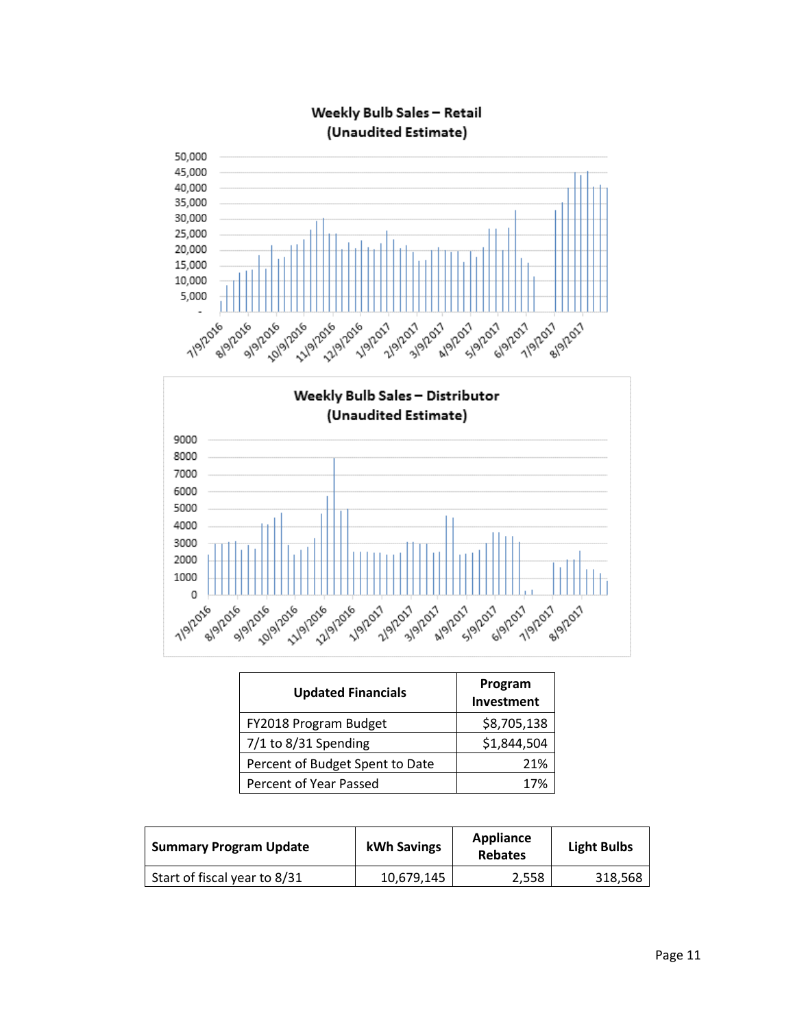





| <b>Updated Financials</b>       | Program<br>Investment |
|---------------------------------|-----------------------|
| FY2018 Program Budget           | \$8,705,138           |
| 7/1 to 8/31 Spending            | \$1,844,504           |
| Percent of Budget Spent to Date | 21%                   |
| Percent of Year Passed          | 17%                   |

| <b>Summary Program Update</b> | kWh Savings | <b>Appliance</b><br><b>Rebates</b> | <b>Light Bulbs</b> |
|-------------------------------|-------------|------------------------------------|--------------------|
| Start of fiscal year to 8/31  | 10,679,145  | 2.558                              | 318,568            |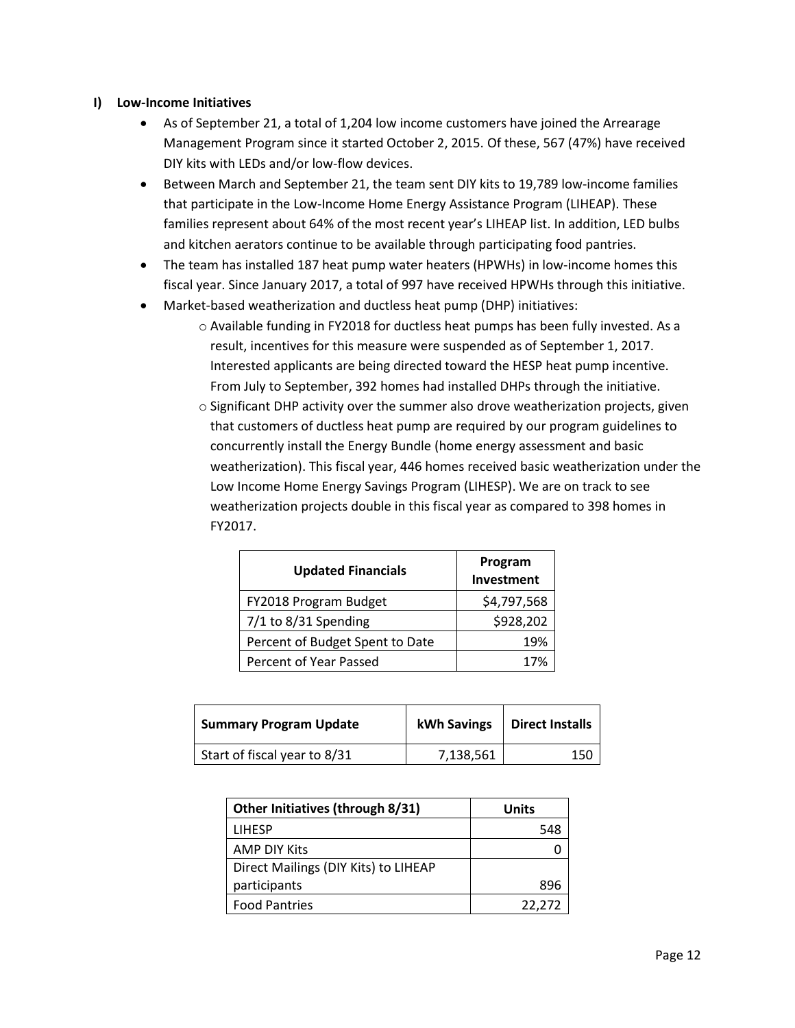#### **I) Low-Income Initiatives**

- As of September 21, a total of 1,204 low income customers have joined the Arrearage Management Program since it started October 2, 2015. Of these, 567 (47%) have received DIY kits with LEDs and/or low-flow devices.
- Between March and September 21, the team sent DIY kits to 19,789 low-income families that participate in the Low-Income Home Energy Assistance Program (LIHEAP). These families represent about 64% of the most recent year's LIHEAP list. In addition, LED bulbs and kitchen aerators continue to be available through participating food pantries.
- The team has installed 187 heat pump water heaters (HPWHs) in low-income homes this fiscal year. Since January 2017, a total of 997 have received HPWHs through this initiative.
- Market-based weatherization and ductless heat pump (DHP) initiatives:
	- o Available funding in FY2018 for ductless heat pumps has been fully invested. As a result, incentives for this measure were suspended as of September 1, 2017. Interested applicants are being directed toward the HESP heat pump incentive. From July to September, 392 homes had installed DHPs through the initiative.
	- o Significant DHP activity over the summer also drove weatherization projects, given that customers of ductless heat pump are required by our program guidelines to concurrently install the Energy Bundle (home energy assessment and basic weatherization). This fiscal year, 446 homes received basic weatherization under the Low Income Home Energy Savings Program (LIHESP). We are on track to see weatherization projects double in this fiscal year as compared to 398 homes in FY2017.

| <b>Updated Financials</b>       | Program<br>Investment |
|---------------------------------|-----------------------|
| FY2018 Program Budget           | \$4,797,568           |
| 7/1 to 8/31 Spending            | \$928,202             |
| Percent of Budget Spent to Date | 19%                   |
| Percent of Year Passed          | 17%                   |

| <b>Summary Program Update</b> | <b>kWh Savings</b> | <b>Direct Installs</b> |
|-------------------------------|--------------------|------------------------|
| Start of fiscal year to 8/31  | 7,138,561          | 150                    |

| Other Initiatives (through 8/31)     | <b>Units</b> |
|--------------------------------------|--------------|
| <b>LIHESP</b>                        | 548          |
| <b>AMP DIY Kits</b>                  |              |
| Direct Mailings (DIY Kits) to LIHEAP |              |
| participants                         | 896          |
| <b>Food Pantries</b>                 | 22,272       |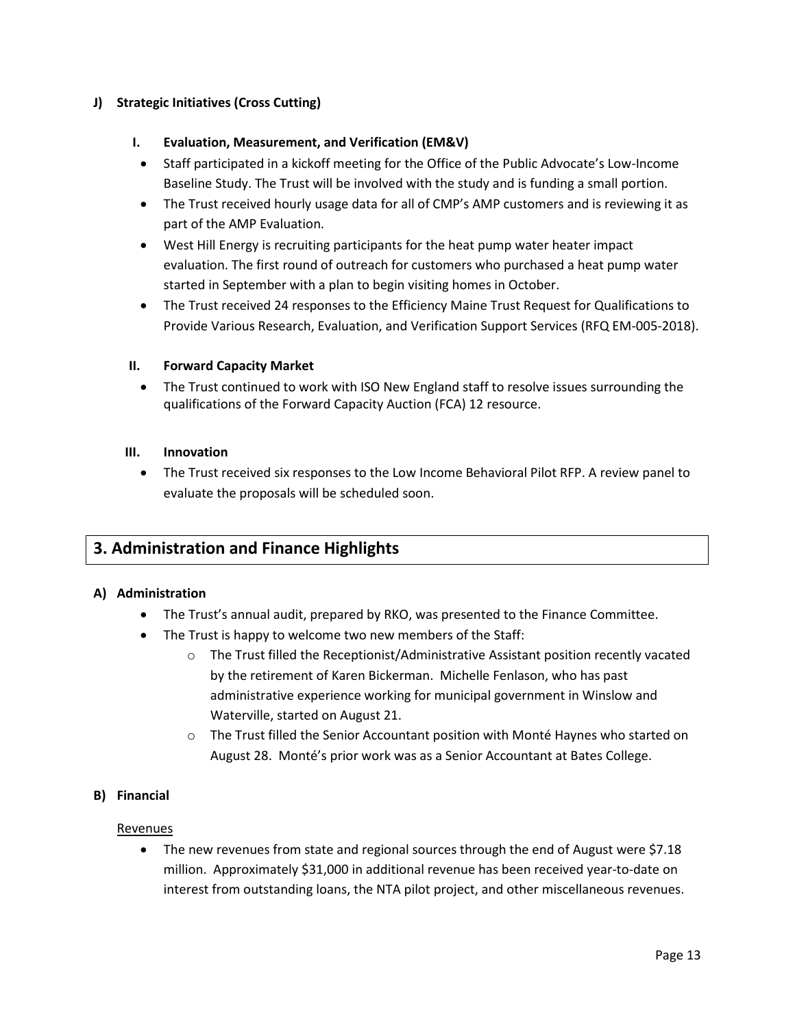#### **J) Strategic Initiatives (Cross Cutting)**

#### **I. Evaluation, Measurement, and Verification (EM&V)**

- Staff participated in a kickoff meeting for the Office of the Public Advocate's Low-Income Baseline Study. The Trust will be involved with the study and is funding a small portion.
- The Trust received hourly usage data for all of CMP's AMP customers and is reviewing it as part of the AMP Evaluation.
- West Hill Energy is recruiting participants for the heat pump water heater impact evaluation. The first round of outreach for customers who purchased a heat pump water started in September with a plan to begin visiting homes in October.
- The Trust received 24 responses to the Efficiency Maine Trust Request for Qualifications to Provide Various Research, Evaluation, and Verification Support Services (RFQ EM-005-2018).

#### **II. Forward Capacity Market**

• The Trust continued to work with ISO New England staff to resolve issues surrounding the qualifications of the Forward Capacity Auction (FCA) 12 resource.

#### **III. Innovation**

• The Trust received six responses to the Low Income Behavioral Pilot RFP. A review panel to evaluate the proposals will be scheduled soon.

# **3. Administration and Finance Highlights**

#### **A) Administration**

- The Trust's annual audit, prepared by RKO, was presented to the Finance Committee.
- The Trust is happy to welcome two new members of the Staff:
	- o The Trust filled the Receptionist/Administrative Assistant position recently vacated by the retirement of Karen Bickerman. Michelle Fenlason, who has past administrative experience working for municipal government in Winslow and Waterville, started on August 21.
	- $\circ$  The Trust filled the Senior Accountant position with Monté Haynes who started on August 28. Monté's prior work was as a Senior Accountant at Bates College.

#### **B) Financial**

#### **Revenues**

• The new revenues from state and regional sources through the end of August were \$7.18 million. Approximately \$31,000 in additional revenue has been received year-to-date on interest from outstanding loans, the NTA pilot project, and other miscellaneous revenues.